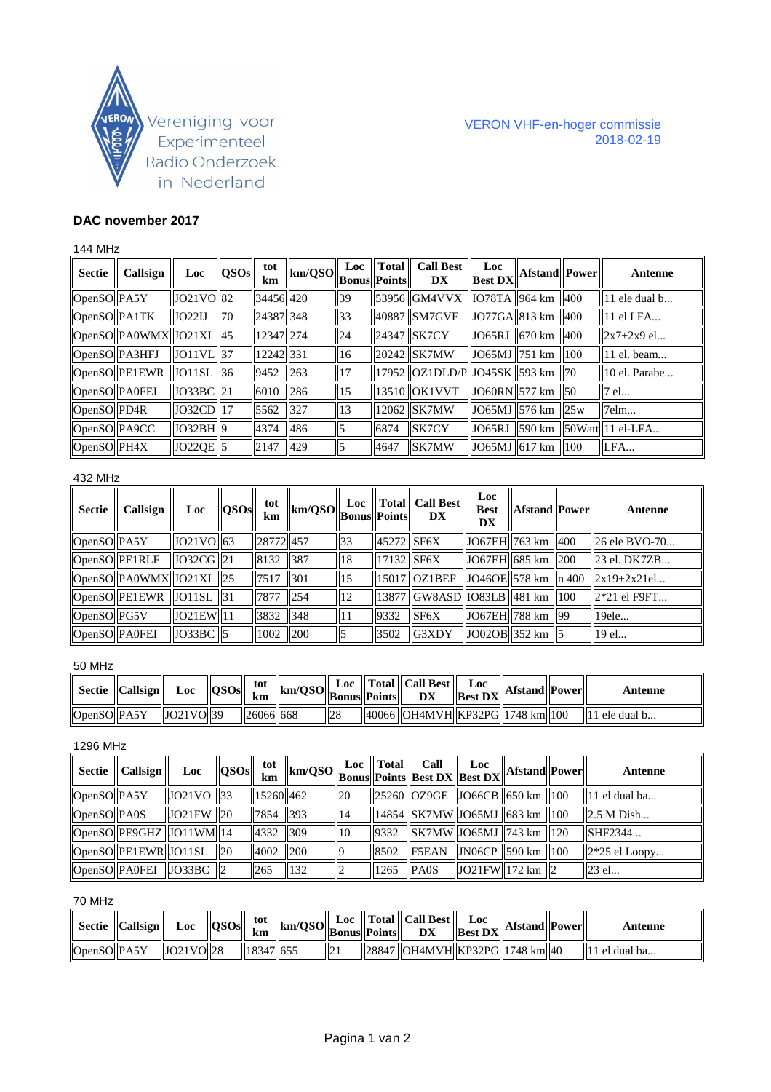

### VERON VHF-en-hoger commissie 2018-02-19

# **DAC november 2017**

### 144 MHz

| <b>Sectie</b> | Callsign                            | Loc              | QSOs | tot<br>km | km/QSO | Loc<br><b>Bonus Points</b> | $\ $ Total | <b>Call Best</b><br>DX                 | Loc<br><b>Best DX</b>                                     | <b>Afstand</b> Power   |                 | Antenne                 |
|---------------|-------------------------------------|------------------|------|-----------|--------|----------------------------|------------|----------------------------------------|-----------------------------------------------------------|------------------------|-----------------|-------------------------|
| OpenSO PA5Y   |                                     | $JO21VO$ 82      |      | 34456 420 |        | 39                         |            | 53956 GM4VVX 1078TA 964 km             |                                                           |                        |                 | 11 ele dual b           |
| OpenSO PA1TK  |                                     | JO22IJ           | 70   | 24387 348 |        | 33                         |            | 40887 SM7GVF                           | $\left $ JO77GA $\right $ 813 km $\left $ 400             |                        |                 | 11 el LFA               |
|               | $\log_{10}$ OpenSO PA0WMX JO21XI 45 |                  |      | 12347 274 |        | 24                         |            | 24347 SK7CY                            | JO65RJ                                                    | $ 670 \text{ km} $ 400 |                 | $2x7+2x9$ el            |
| OpenSO PA3HFJ |                                     | $JO11VL$  37     |      | 12242 331 |        | 16                         |            | 20242 SK7MW                            | $\left  \frac{\text{JO65MI}}{\text{J251 km}} \right $ 100 |                        |                 | 11 el. beam             |
|               | OpenSO PE1EWR                       | $JO11SL$ 36      |      | 9452      | 263    | 17                         |            | 17952   OZ1DLD/P  JO45SK   593 km   70 |                                                           |                        |                 | 10 el. Parabe           |
| OpenSO PA0FEI |                                     | JO33BC 21        |      | 6010      | 286    | 15                         |            | 13510 OK1VVT                           | $\left $ JO60RN $\right $ 577 km $\left $ 50              |                        |                 | 7 el                    |
| OpenSO PD4R   |                                     | $JO32CD$ $17$    |      | 5562      | 327    | 13                         |            | 12062 SK7MW                            | JO65MJ   576 km   25w                                     |                        |                 | 7elm                    |
| OpenSO PA9CC  |                                     | $ $ JO32BH $ $ 9 |      | 4374      | 486    | 15                         | 6874       | SK7CY                                  | JO65RJ                                                    | 590 km                 |                 | $ 50W$ att $ 11$ el-LFA |
| OpenSO PH4X   |                                     | $JO22QE$ 5       |      | 2147      | 429    |                            | 4647       | SK7MW                                  | $JO65MJ$ 617 km                                           |                        | $\parallel$ 100 | LFA                     |

# 432 MHz

| <b>Sectie</b> | Callsign                            | Loc                          | OSOs | tot<br>km | $\ \text{km/QSO}\ _{\text{Bonus}}^{\text{Lov}}\ _{\text{Points}}$ |                 |            | $\ $ Total $\ $ Call Best $\ $<br><b>DX</b>                                             | <b>Loc</b><br><b>Best</b><br>DX | <b>Afstand</b> Power | Antenne                                                                                                    |
|---------------|-------------------------------------|------------------------------|------|-----------|-------------------------------------------------------------------|-----------------|------------|-----------------------------------------------------------------------------------------|---------------------------------|----------------------|------------------------------------------------------------------------------------------------------------|
| OpenSO PA5Y   |                                     | $\left $ JO21VO $\right $ 63 |      | 28772457  |                                                                   | $\overline{33}$ | 45272 SF6X |                                                                                         | $ JO67EH $ 763 km $ 400 $       |                      | $\vert$ 26 ele BVO-70                                                                                      |
|               | OpenSO PE1RLF                       | $JO32CG$ 21                  |      | 8132 387  |                                                                   | 18              | 17132 SF6X |                                                                                         | $ JO67EH $ 685 km $ 200$        |                      | 23 el. DK7ZB                                                                                               |
|               | $\log_{10}$ PA0WMX JO21XI 25        |                              |      | 7517 301  |                                                                   | ll 5            |            | 15017 OZ1BEF                                                                            |                                 |                      | $\left \left  \text{JO46OE} \right \right $ 578 km $\left \left  \text{n 400} \right  \right $ 2x19+2x21el |
|               | $\log_{10}$ OpenSO PE1EWR JO11SL 31 |                              |      | 7877 254  |                                                                   | 12              |            | $\left\  13877 \right\ $ GW8ASD $\left\  1083LB \right\ $ 481 km $\left\  100 \right\ $ |                                 |                      | $\parallel$ 2*21 el F9FT                                                                                   |
| OpenSO PG5V   |                                     | JO21EW 11                    |      | 3832 348  |                                                                   |                 | 9332       | SF6X                                                                                    | $ JO67EH $ 788 km $ 99 $        |                      | 19ele                                                                                                      |
| OpenSO PA0FEI |                                     | $\vert$ JO33BC $\vert$ 5     |      | 1002      | 200                                                               |                 | 3502       | IG3XDY                                                                                  | $ JO02OB $ 352 km   5           |                      | 19 el                                                                                                      |

#### 50 MHz

|             | $\parallel$ Sectie $\parallel$ Callsign $\parallel$ | Loc       | OSOs | tot<br>km  | $\ \text{km/QSO}\ _{\text{Bonus}}^{\text{LOC}}\ _{\text{Points}}^{\text{Total}}\ $ |     | Loc $\  \text{Total} \ $ Call Best $\ $<br>$\mathbf{v} = \mathbf{v}$ $\mathbf{v} = \mathbf{v}$ $\mathbf{v} = \mathbf{v}$ $\mathbf{v} = \mathbf{v}$ | Loc |  | Antenne                   |
|-------------|-----------------------------------------------------|-----------|------|------------|------------------------------------------------------------------------------------|-----|----------------------------------------------------------------------------------------------------------------------------------------------------|-----|--|---------------------------|
| OpenSO PA5Y |                                                     | JO21VO 39 |      | 1260661668 |                                                                                    | 128 | 40066   OH4MVH  KP32PG  1748 km  100                                                                                                               |     |  | $\mathsf{II}1$ ele dual b |

### 1296 MHz

|             | $\parallel$ Sectie $\parallel$ Callsign $\parallel$ | Loc                                                     | QSOs | tot<br>km | $\lim_{n}$   km/QSO    $\lim_{\text{Bonus}}$    $\lim_{\text{Bents}}$    $\lim_{\text{Best DX}}$    $\lim_{\text{Best DX}}$    <sup>17</sup> |              | Loc $\  \text{Total} \ $ | Call        | Loc                                                                                                         | Afstand Power | Antenne         |
|-------------|-----------------------------------------------------|---------------------------------------------------------|------|-----------|----------------------------------------------------------------------------------------------------------------------------------------------|--------------|--------------------------|-------------|-------------------------------------------------------------------------------------------------------------|---------------|-----------------|
| OpenSO PA5Y |                                                     | $\vert$ JO21VO $\vert$ 33                               |      | 15260 462 |                                                                                                                                              | <b>20</b>    |                          |             | $\left 25260\right \right $ OZ9GE $\left \left 1066CB\right \right $ 650 km $\left \left 100\right \right $ |               | 11 el dual ba   |
| OpenSO PA0S |                                                     | $\vert$ JO21FW $\vert$ 20                               |      | 7854 393  |                                                                                                                                              | 14           |                          |             | 14854   SK7MW  JO65MJ   683 km   100                                                                        |               | 2.5 M Dish      |
|             |                                                     | $\vert$ OpenSO $\vert$ PE9GHZ $\vert$ JO11WM $\vert$ 14 |      | 4332 309  |                                                                                                                                              | $ 10\rangle$ | 9332                     |             | $  $ SK7MW $  $ JO65MJ $  $ 743 km $  $ 120                                                                 |               | SHF2344         |
|             |                                                     | $\vert$ OpenSO $\vert$ PE1EWR $\vert$ JO11SL $\vert$ 20 |      | 4002 200  |                                                                                                                                              |              | 8502                     |             | $\left  \text{F5EAN} \right $ JN06CP 590 km 100                                                             |               | $2*25$ el Loopy |
|             |                                                     | $\vert$ OpenSO $\vert$ PA0FEI $\vert$ JO33BC $\vert$ 2  |      | 265       | 132                                                                                                                                          |              | 1265                     | <b>PA0S</b> | $ JO21FW $ 172 km $ 2$                                                                                      |               | $\vert$ 23 el   |

# 70 MHz

|             | $\parallel$ Sectie $\parallel$ Callsign $\parallel$ | Loc $\ $ QSOs $\ $ | tot<br>km | $\ \text{km/QSO}\ _{\text{Bonus}}^{\text{LUC}}\ _{\text{Points}}^{\text{I total}}\ $ |  | Loc $\ $ Total $\ $ Call Best $\ $<br>$\mathbf{v} = \mathbf{v}$   Best DX  Afstand  Power | Loc |  | Antenne                   |
|-------------|-----------------------------------------------------|--------------------|-----------|--------------------------------------------------------------------------------------|--|-------------------------------------------------------------------------------------------|-----|--|---------------------------|
| OpenSO PA5Y |                                                     | JO21VOI28          | 18347 655 |                                                                                      |  | 28847   OH4MVH  KP32PG  1748 km  40                                                       |     |  | $\parallel$ 11 el dual ba |